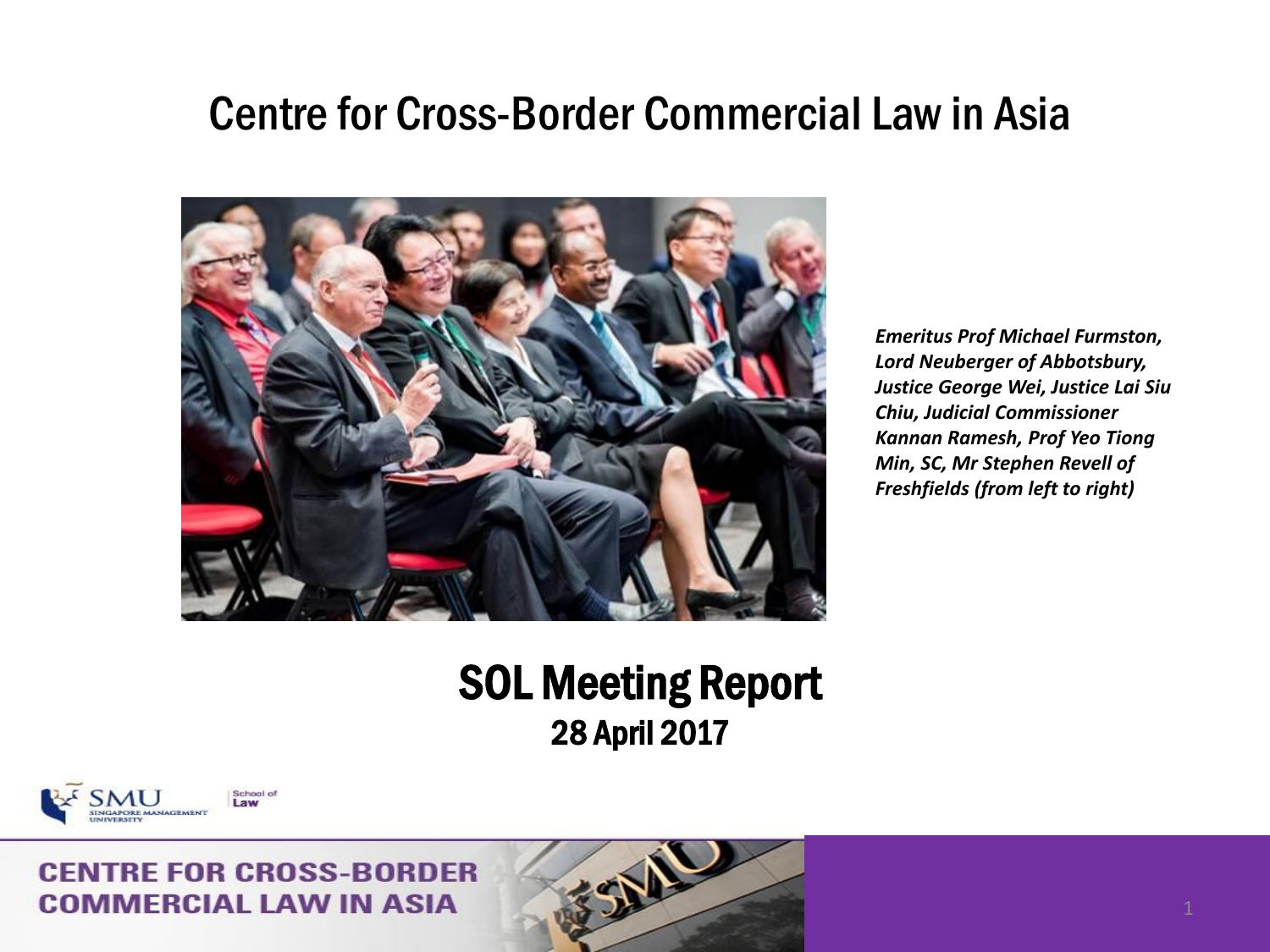### Centre for Cross-Border Commercial Law in Asia



*Emeritus Prof Michael Furmston, Lord Neuberger of Abbotsbury, Justice George Wei, Justice Lai Siu Chiu, Judicial Commissioner Kannan Ramesh, Prof Yeo Tiong Min, SC, Mr Stephen Revell of Freshfields (from left to right)* 

### SOL Meeting Report 28 April 2017

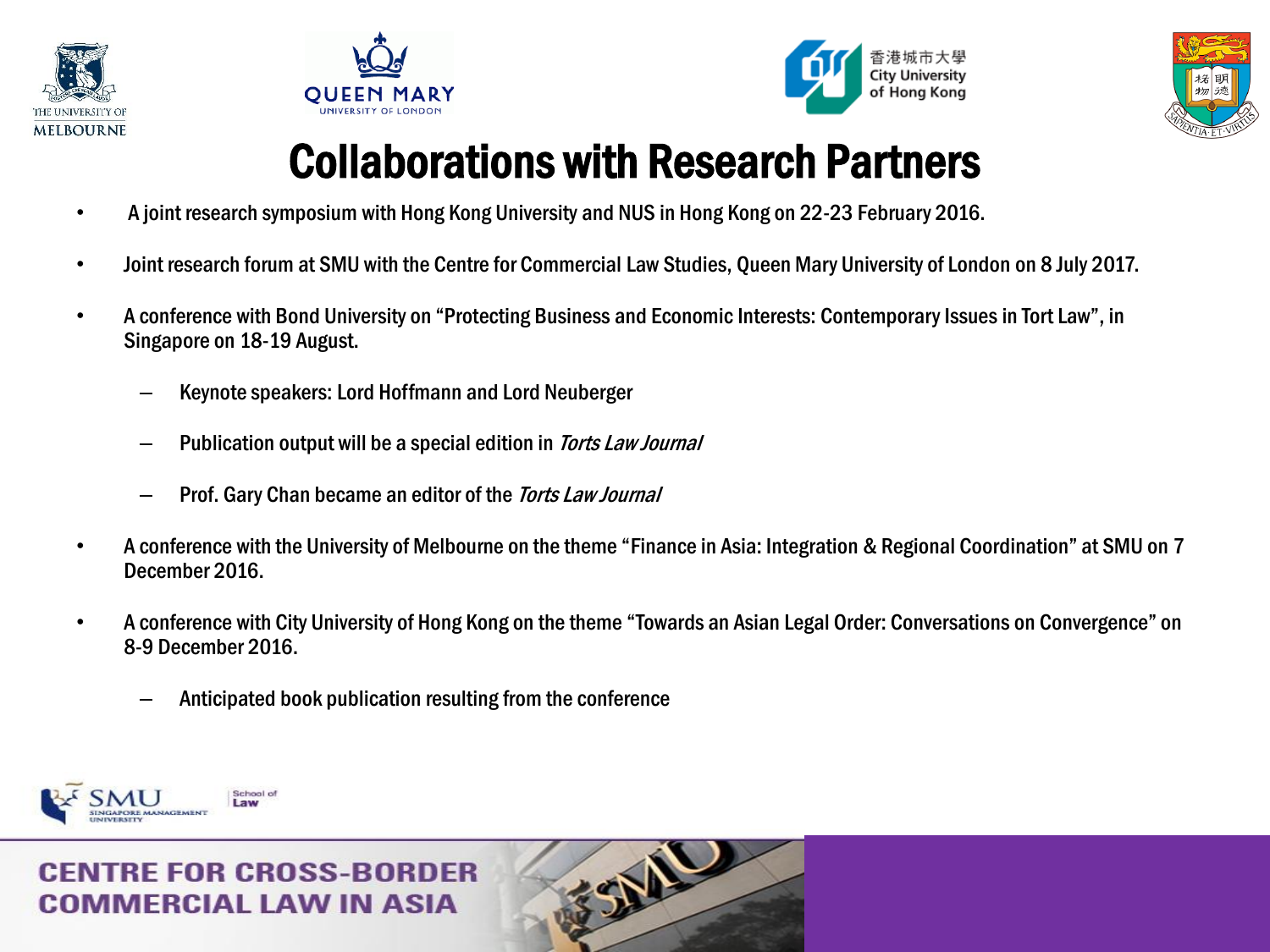







## Collaborations with Research Partners

- A joint research symposium with Hong Kong University and NUS in Hong Kong on 22-23 February 2016.
- Joint research forum at SMU with the Centre for Commercial Law Studies, Queen Mary University of London on 8 July 2017.
- A conference with Bond University on "Protecting Business and Economic Interests: Contemporary Issues in Tort Law", in Singapore on 18-19 August.
	- Keynote speakers: Lord Hoffmann and Lord Neuberger
	- Publication output will be a special edition in *Torts Law Journal*
	- Prof. Gary Chan became an editor of the *Torts Law Journal*
- A conference with the University of Melbourne on the theme "Finance in Asia: Integration & Regional Coordination" at SMU on 7 December 2016.
- A conference with City University of Hong Kong on the theme "Towards an Asian Legal Order: Conversations on Convergence" on 8-9 December 2016.
	- Anticipated book publication resulting from the conference

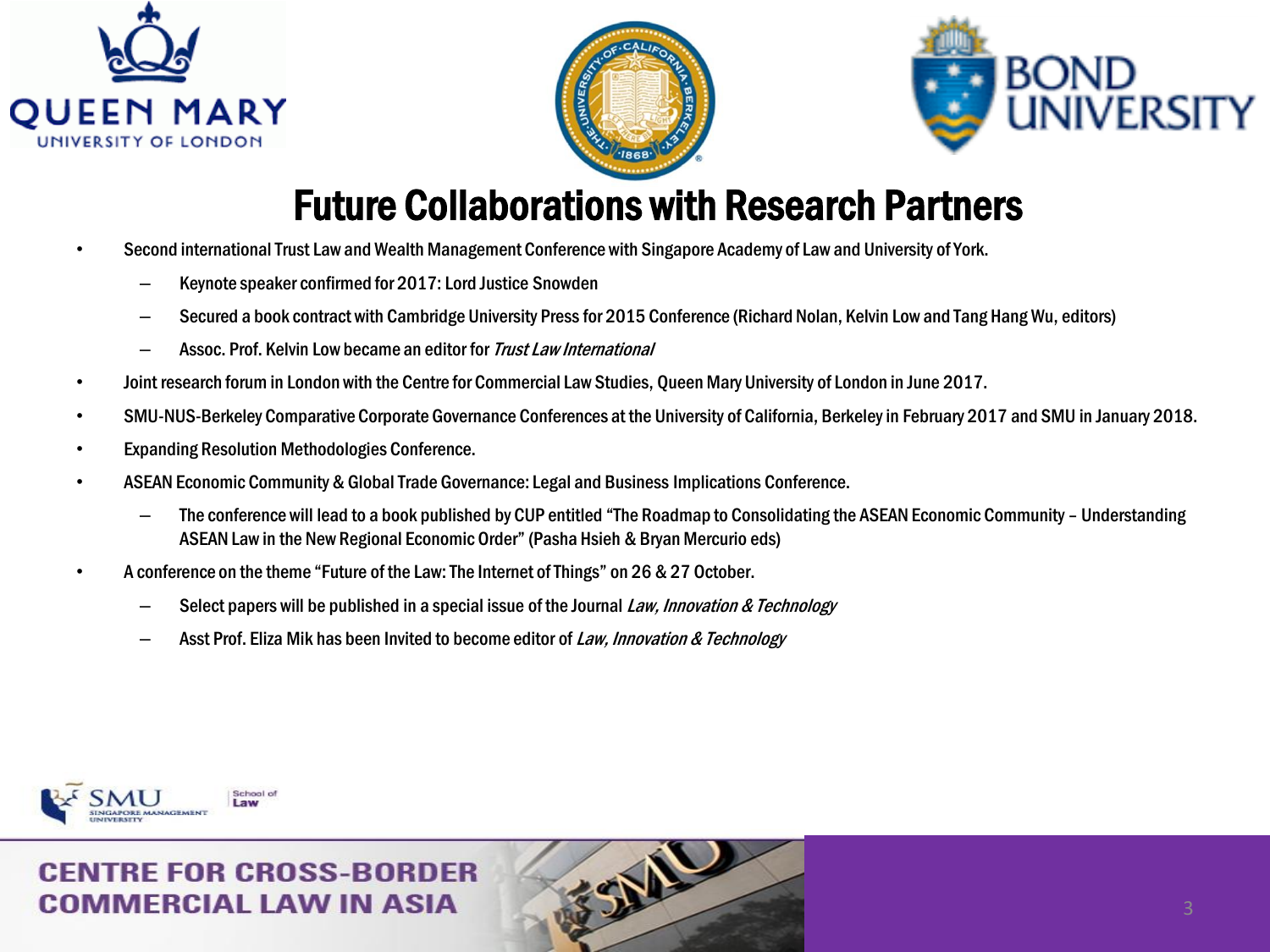





### Future Collaborations with Research Partners

- Second international Trust Law and Wealth Management Conference with Singapore Academy of Law and University of York.
	- Keynote speaker confirmed for 2017: Lord Justice Snowden
	- Secured a book contract with Cambridge University Press for 2015 Conference (Richard Nolan, Kelvin Low and Tang Hang Wu, editors)
	- Assoc. Prof. Kelvin Low became an editor for Trust Law International
- Joint research forum in London with the Centre for Commercial Law Studies, Queen Mary University of London in June 2017.
- SMU-NUS-Berkeley Comparative Corporate Governance Conferences at the University of California, Berkeley in February 2017 and SMU in January 2018.
- Expanding Resolution Methodologies Conference.
- ASEAN Economic Community & Global Trade Governance: Legal and Business Implications Conference.
	- The conference will lead to a book published by CUP entitled "The Roadmap to Consolidating the ASEAN Economic Community Understanding ASEAN Law in the New Regional Economic Order" (Pasha Hsieh & Bryan Mercurio eds)
- A conference on the theme "Future of the Law: The Internet of Things" on 26 & 27 October.
	- $-$  Select papers will be published in a special issue of the Journal Law, Innovation & Technology
	- Asst Prof. Eliza Mik has been Invited to become editor of Law, Innovation & Technology

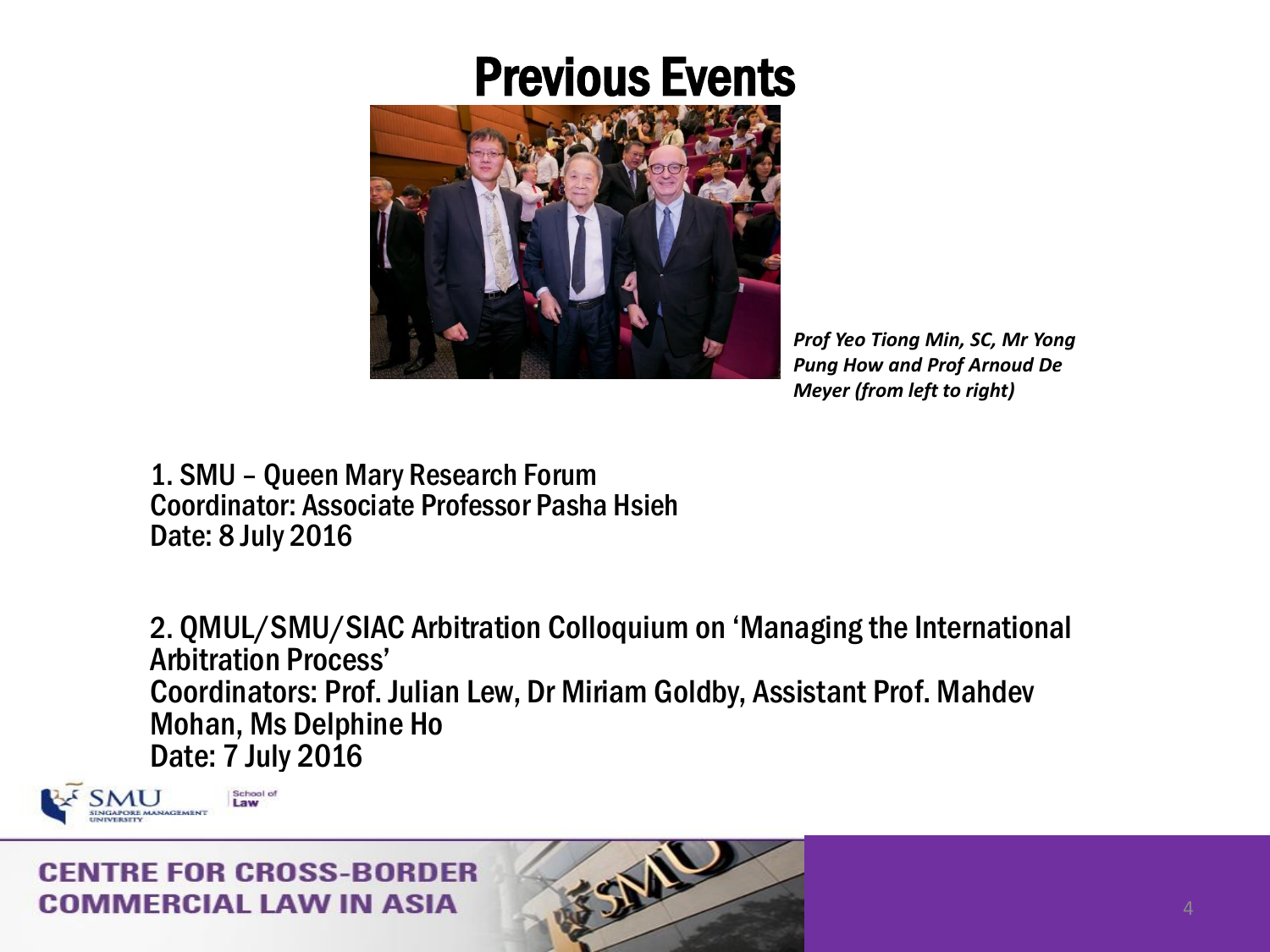

*Prof Yeo Tiong Min, SC, Mr Yong Pung How and Prof Arnoud De Meyer (from left to right)*

1. SMU – Queen Mary Research Forum Coordinator: Associate Professor Pasha Hsieh Date: 8 July 2016

2. QMUL/SMU/SIAC Arbitration Colloquium on 'Managing the International Arbitration Process' Coordinators: Prof. Julian Lew, Dr Miriam Goldby, Assistant Prof. Mahdev Mohan, Ms Delphine Ho Date: 7 July 2016

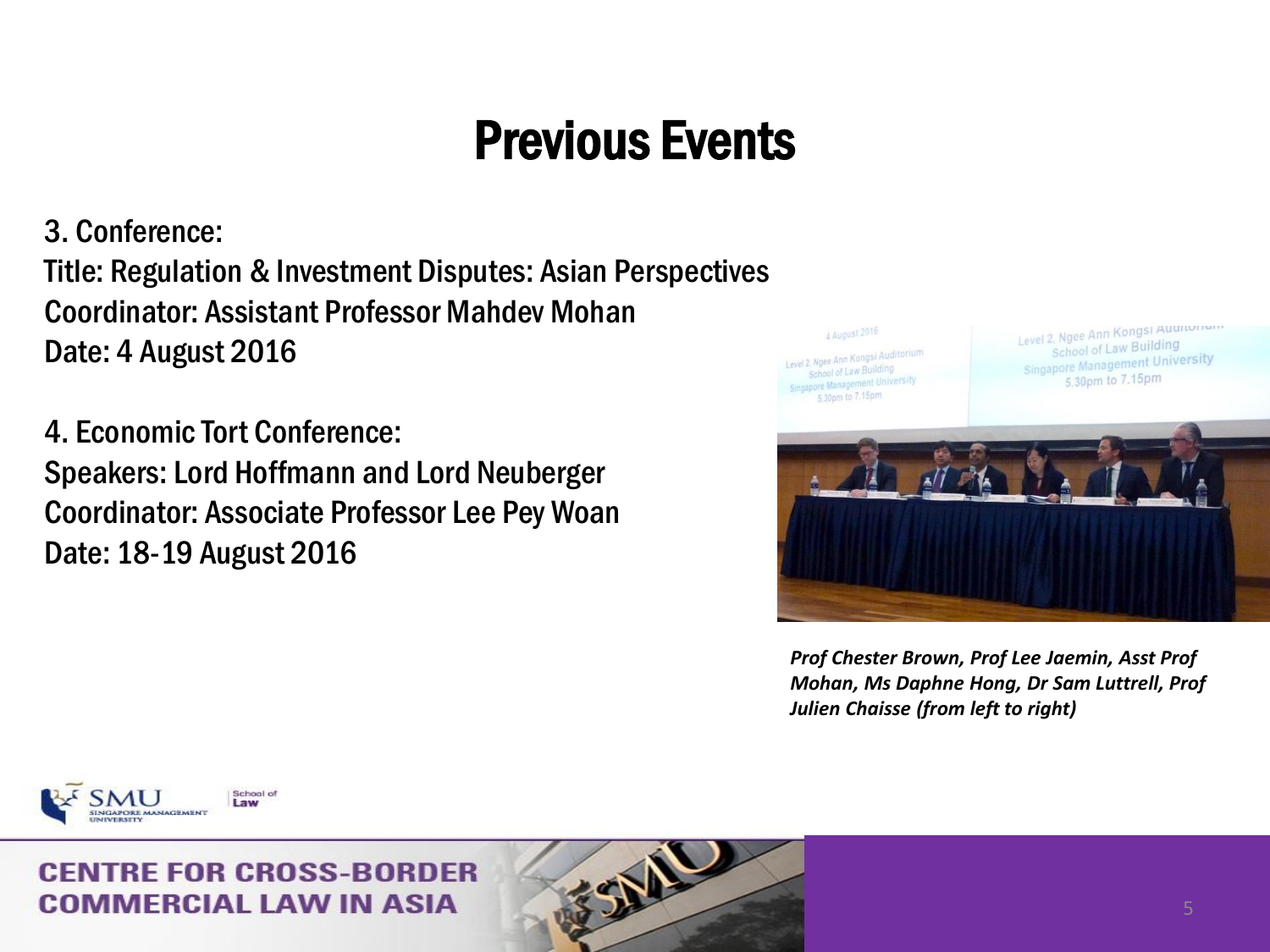3. Conference: Title: Regulation & Investment Disputes: Asian Perspectives Coordinator: Assistant Professor Mahdev Mohan Date: 4 August 2016

4. Economic Tort Conference: Speakers: Lord Hoffmann and Lord Neuberger Coordinator: Associate Professor Lee Pey Woan Date: 18-19 August 2016



*Prof Chester Brown, Prof Lee Jaemin, Asst Prof Mohan, Ms Daphne Hong, Dr Sam Luttrell, Prof Julien Chaisse (from left to right)* 

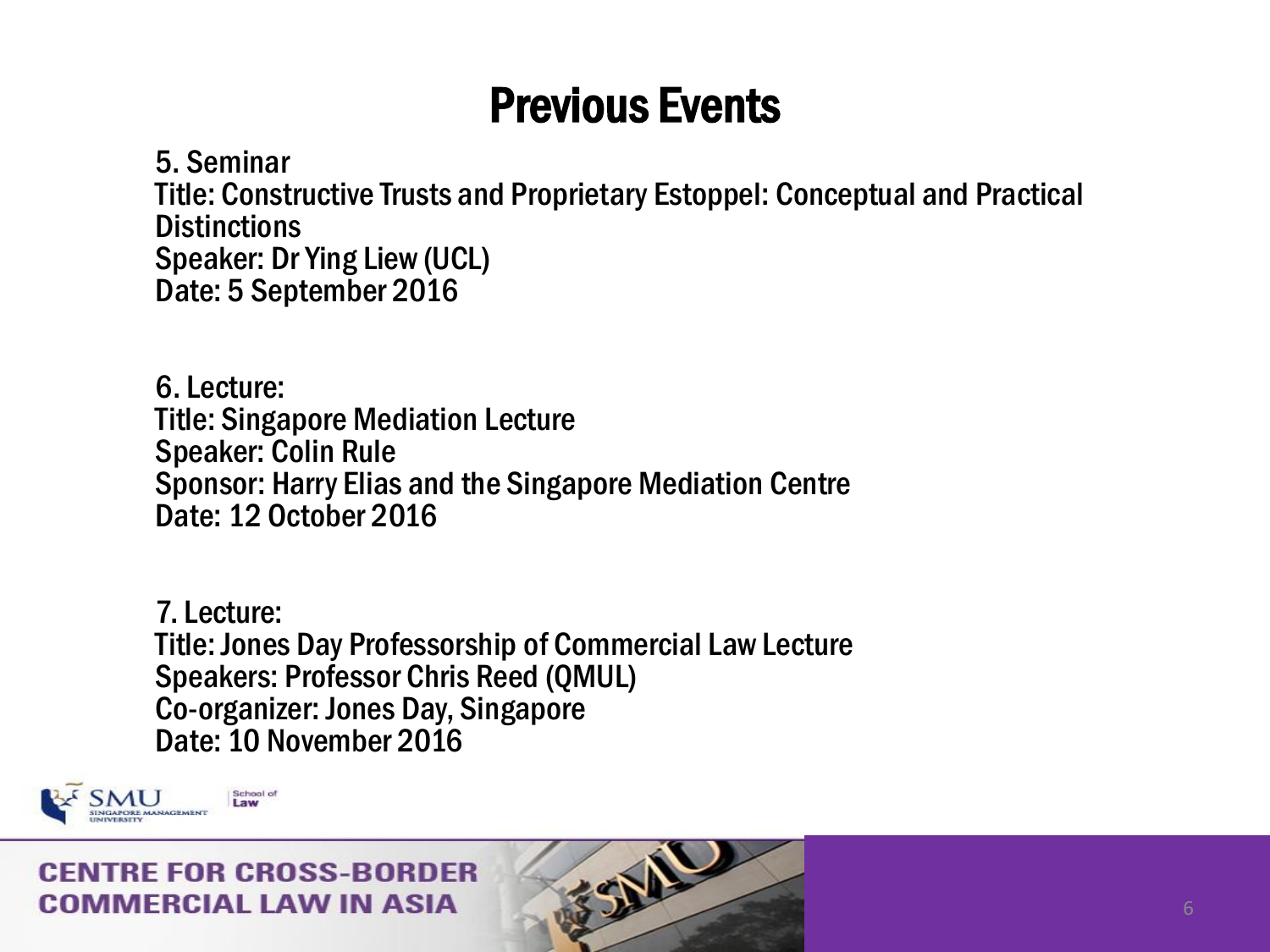5. Seminar Title: Constructive Trusts and Proprietary Estoppel: Conceptual and Practical **Distinctions** Speaker: Dr Ying Liew (UCL) Date: 5 September 2016

6. Lecture: Title: Singapore Mediation Lecture Speaker: Colin Rule Sponsor: Harry Elias and the Singapore Mediation Centre Date: 12 October 2016

7. Lecture: Title: Jones Day Professorship of Commercial Law Lecture Speakers: Professor Chris Reed (QMUL) Co-organizer: Jones Day, Singapore Date: 10 November 2016

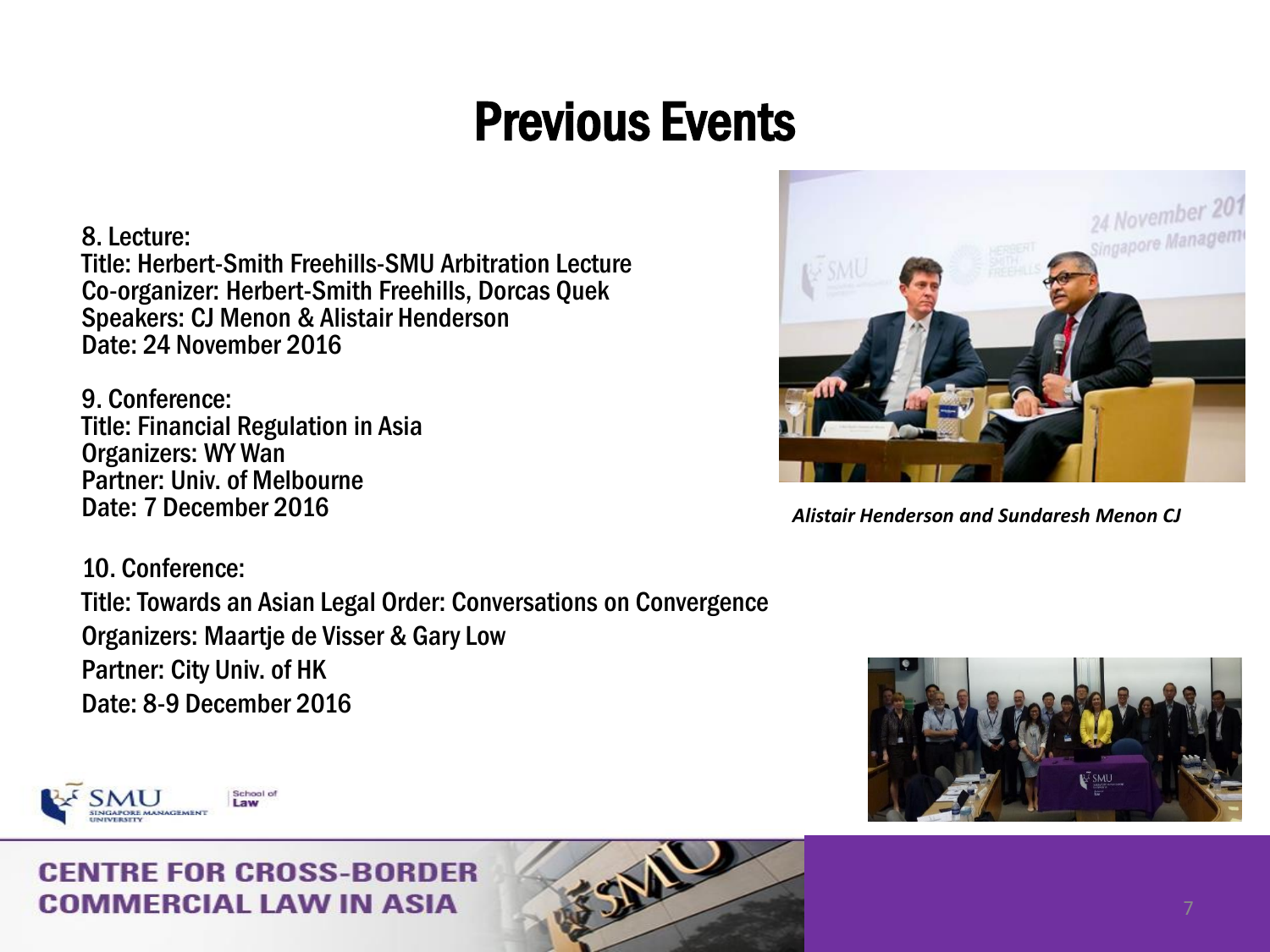8. Lecture: Title: Herbert-Smith Freehills-SMU Arbitration Lecture Co-organizer: Herbert-Smith Freehills, Dorcas Quek Speakers: CJ Menon & Alistair Henderson Date: 24 November 2016

9. Conference: Title: Financial Regulation in Asia Organizers: WY Wan Partner: Univ. of Melbourne Date: 7 December 2016

10. Conference: Title: Towards an Asian Legal Order: Conversations on Convergence Organizers: Maartje de Visser & Gary Low Partner: City Univ. of HK Date: 8-9 December 2016



*Alistair Henderson and Sundaresh Menon CJ* 



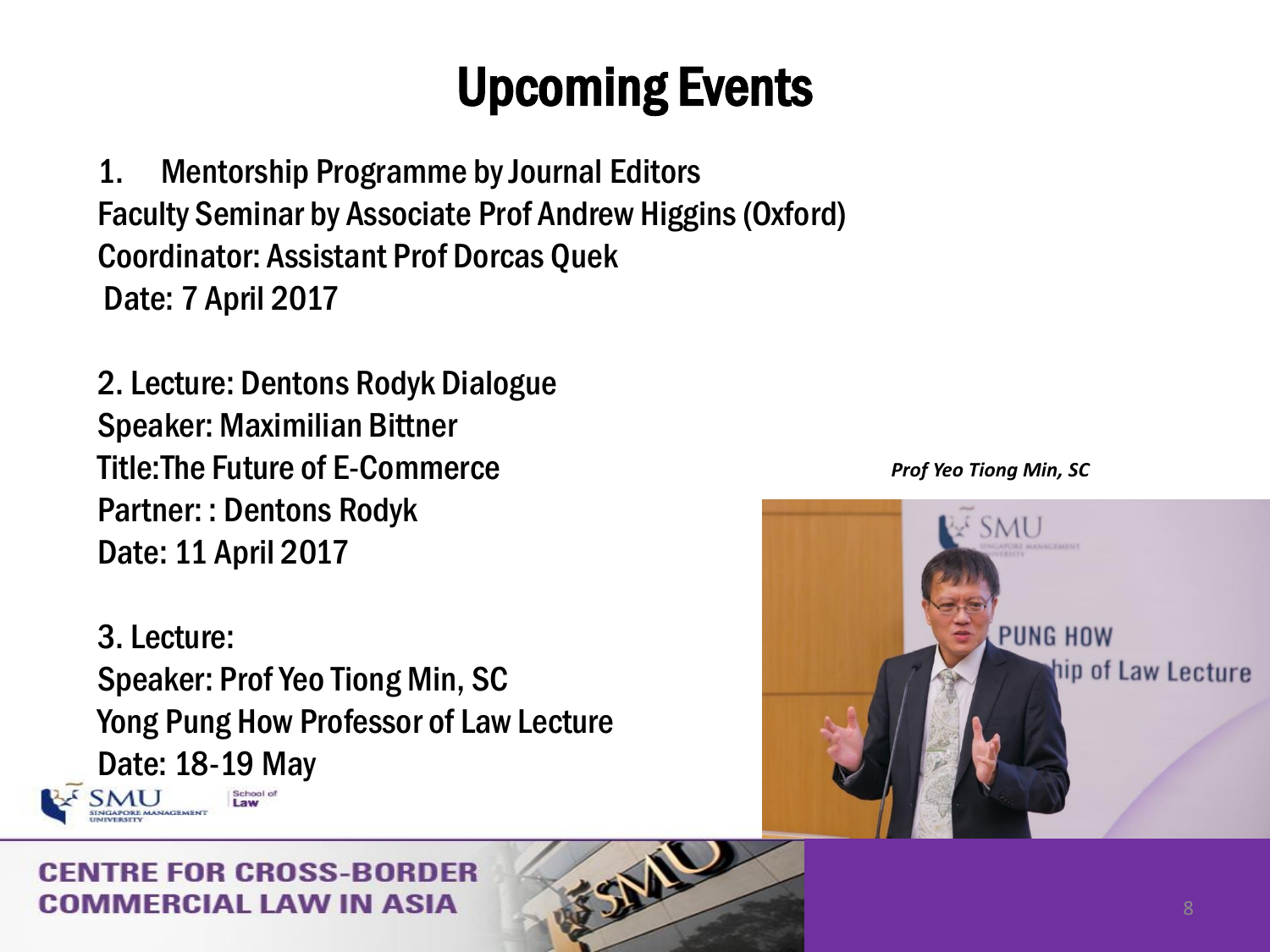1. Mentorship Programme by Journal Editors Faculty Seminar by Associate Prof Andrew Higgins (Oxford) Coordinator: Assistant Prof Dorcas Quek Date: 7 April 2017

2. Lecture: Dentons Rodyk Dialogue Speaker: Maximilian Bittner Title:The Future of E-Commerce Partner: : Dentons Rodyk Date: 11 April 2017

3. Lecture: Speaker: Prof Yeo Tiong Min, SC Yong Pung How Professor of Law Lecture Date: 18-19 May

**NUMBER MANAGEMENT** 

### RE FOR CROSS-RORDER IMFRCIAL LAW IN ASIA



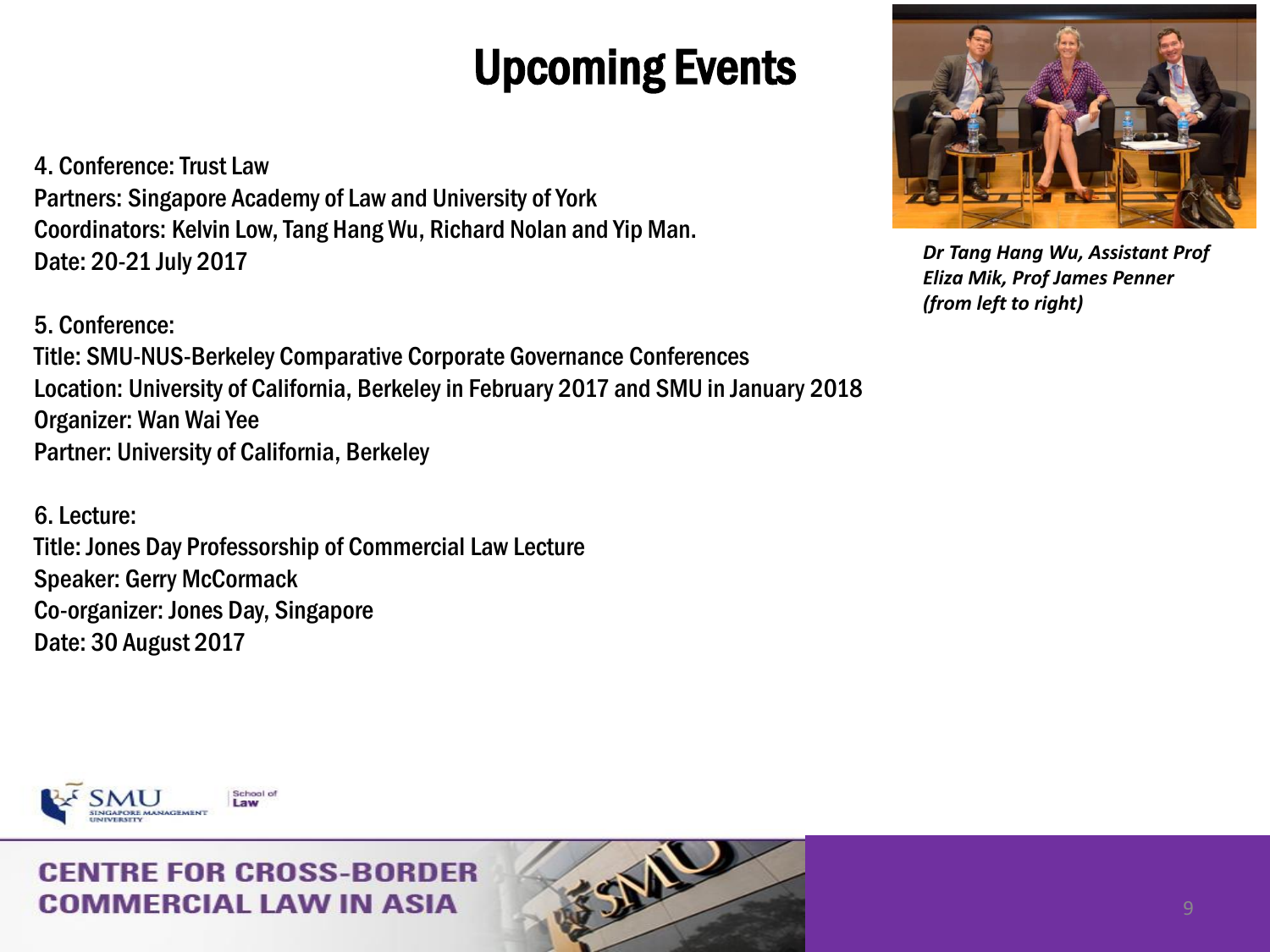4. Conference: Trust Law Partners: Singapore Academy of Law and University of York Coordinators: Kelvin Low, Tang Hang Wu, Richard Nolan and Yip Man. Date: 20-21 July 2017

5. Conference:

Title: SMU-NUS-Berkeley Comparative Corporate Governance Conferences Location: University of California, Berkeley in February 2017 and SMU in January 2018 Organizer: Wan Wai Yee Partner: University of California, Berkeley

6. Lecture: Title: Jones Day Professorship of Commercial Law Lecture Speaker: Gerry McCormack Co-organizer: Jones Day, Singapore Date: 30 August 2017



*Dr Tang Hang Wu, Assistant Prof Eliza Mik, Prof James Penner (from left to right)*

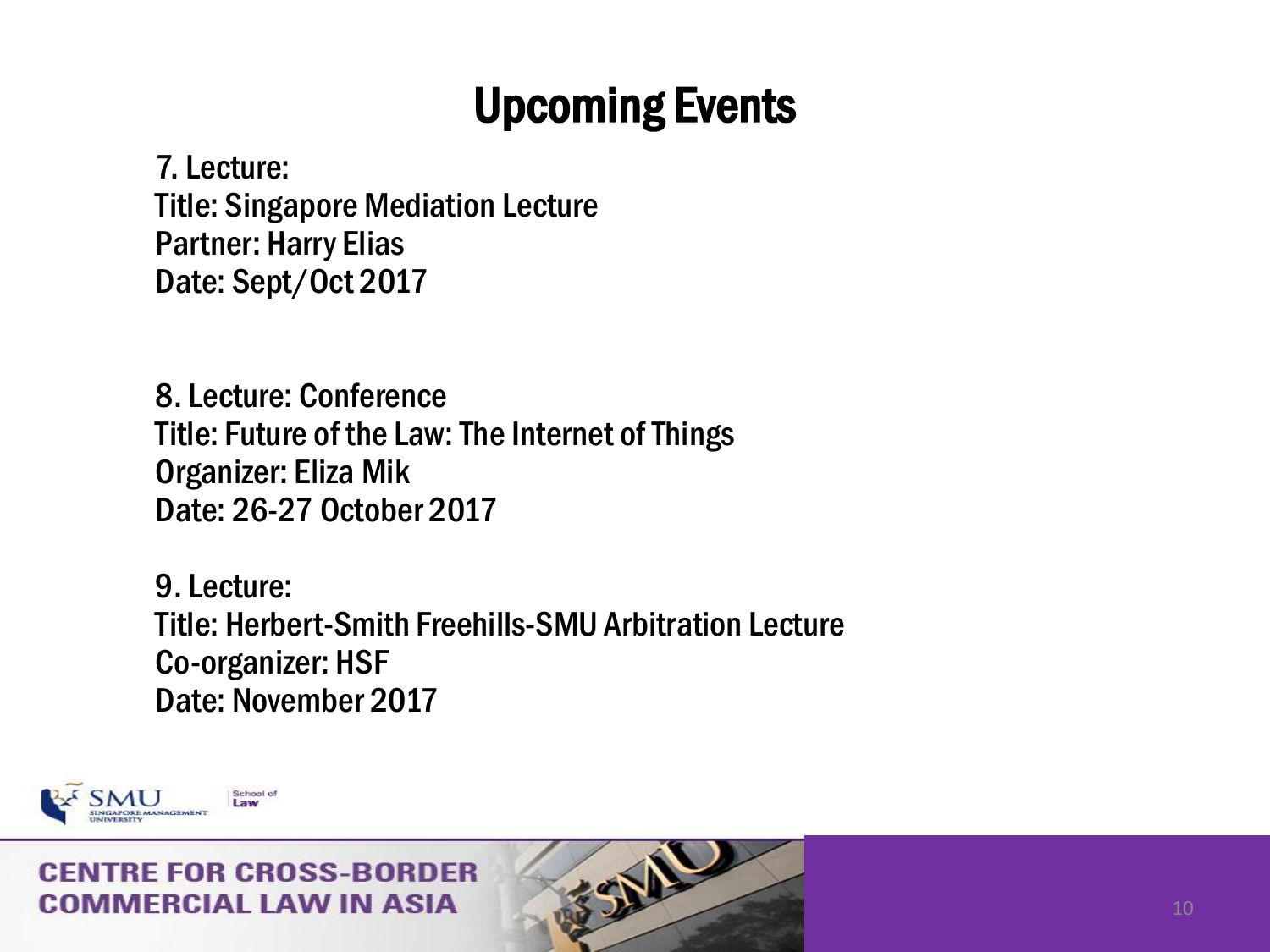经业

7. Lecture: Title: Singapore Mediation Lecture Partner: Harry Elias Date: Sept/Oct 2017

8. Lecture: Conference Title: Future of the Law: The Internet of Things Organizer: Eliza Mik Date: 26-27 October 2017

9. Lecture: Title: Herbert-Smith Freehills-SMU Arbitration Lecture Co-organizer: HSF Date: November 2017

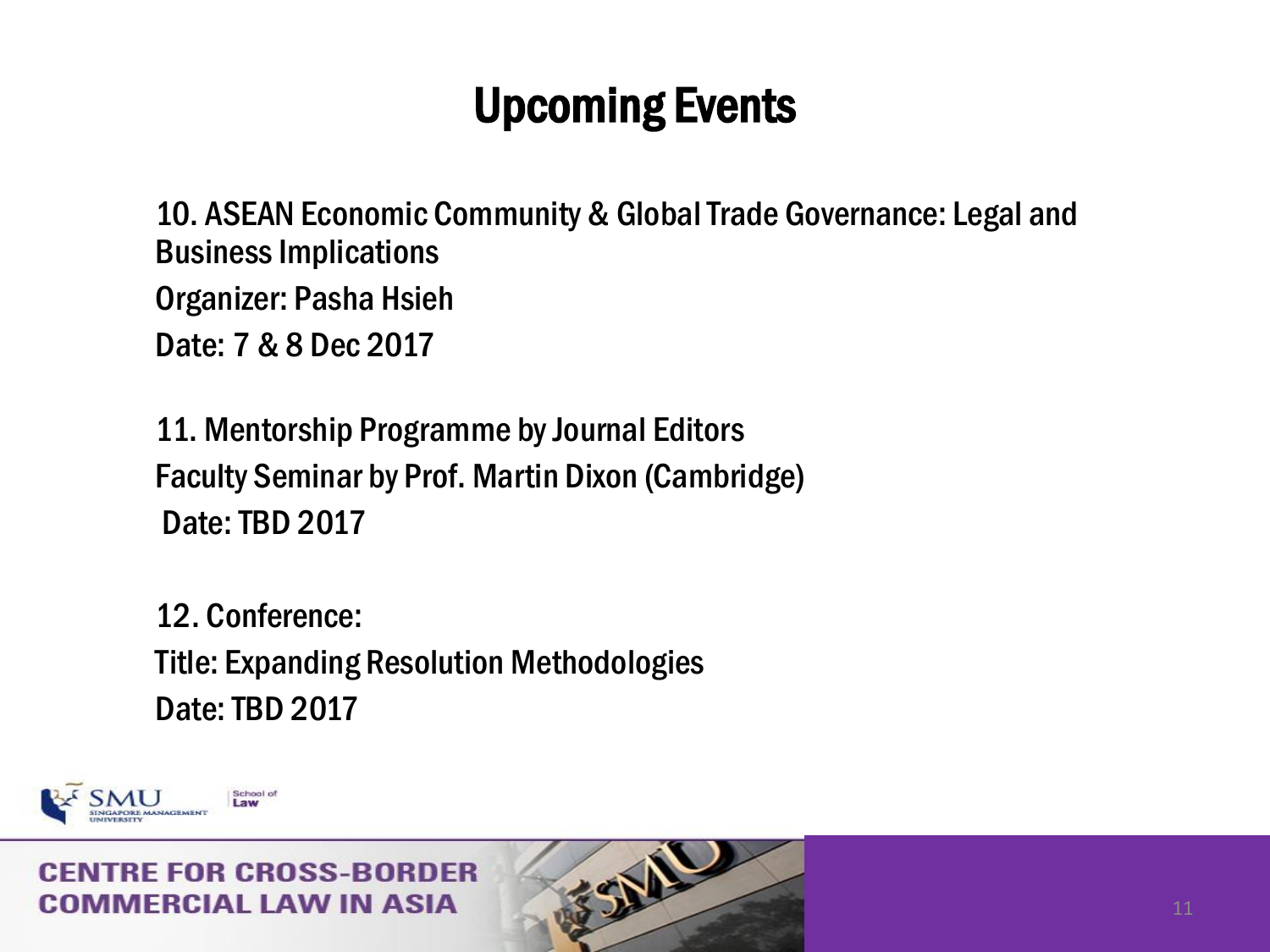10. ASEAN Economic Community & Global Trade Governance: Legal and Business Implications Organizer: Pasha Hsieh Date: 7 & 8 Dec 2017

11. Mentorship Programme by Journal Editors Faculty Seminar by Prof. Martin Dixon (Cambridge) Date: TBD 2017

12. Conference: Title: Expanding Resolution Methodologies Date: TBD 2017

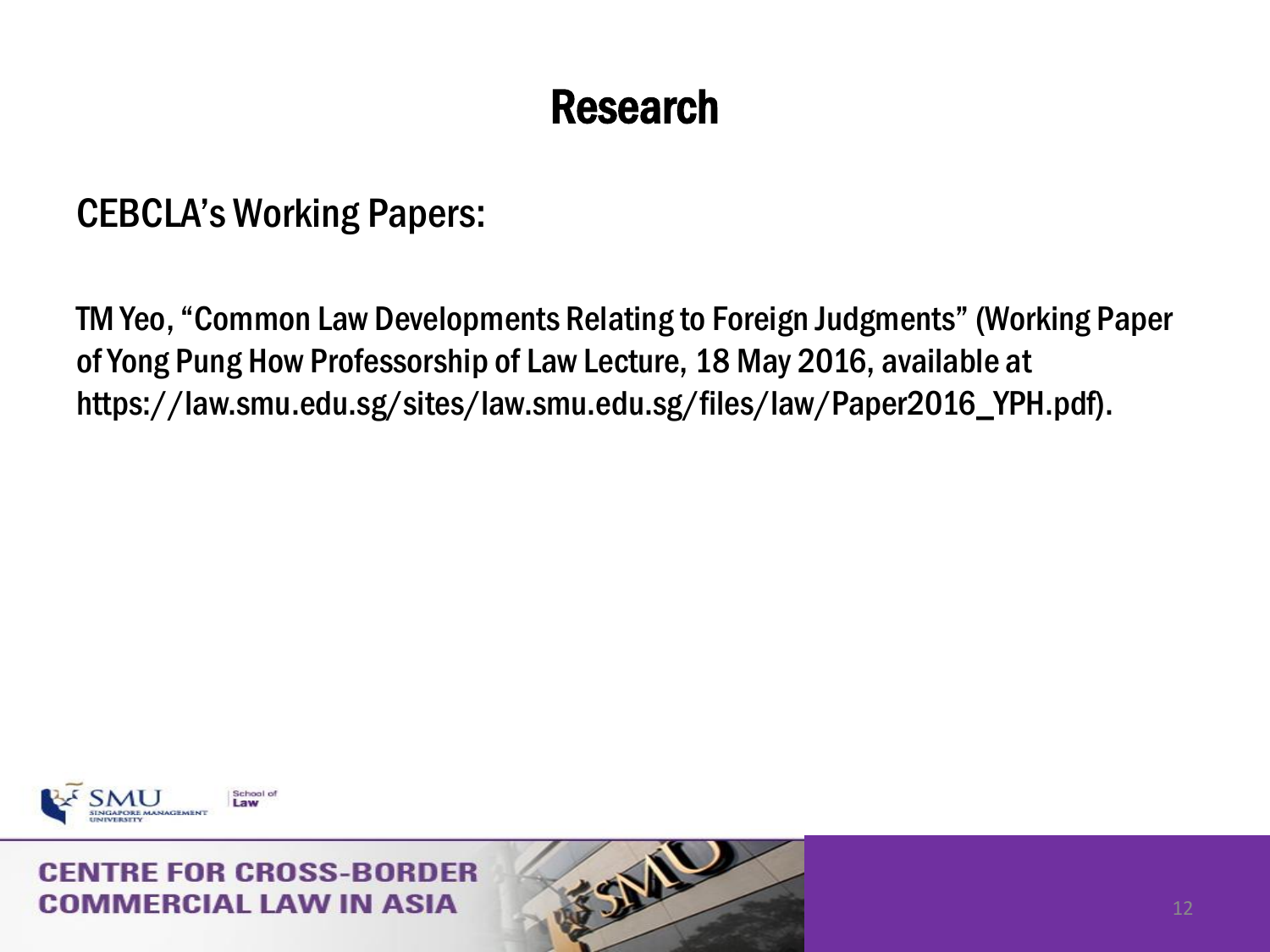CEBCLA's Working Papers:

TM Yeo, "Common Law Developments Relating to Foreign Judgments" (Working Paper of Yong Pung How Professorship of Law Lecture, 18 May 2016, available at https://law.smu.edu.sg/sites/law.smu.edu.sg/files/law/Paper2016\_YPH.pdf).

经业

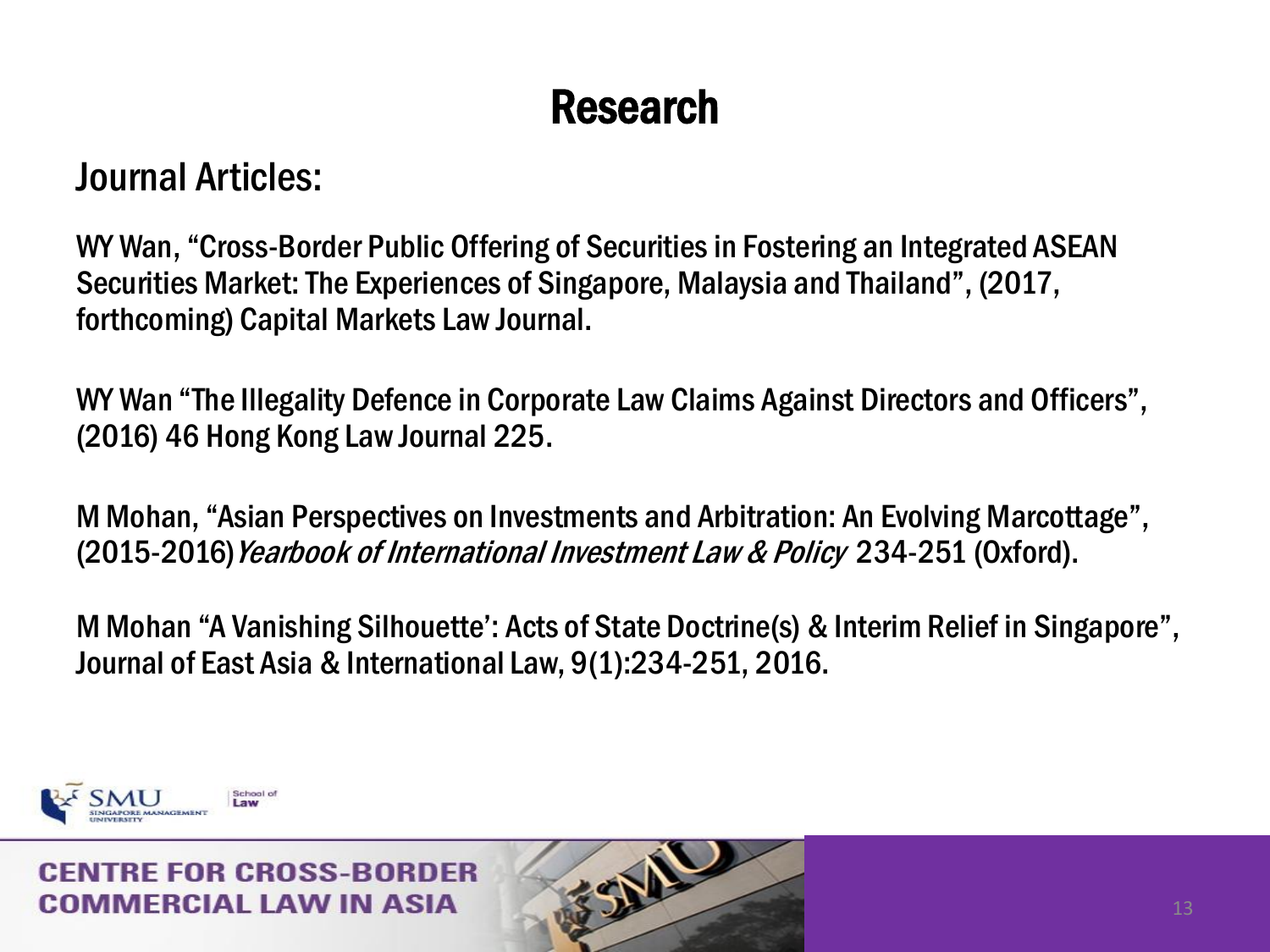### Journal Articles:

WY Wan, "Cross-Border Public Offering of Securities in Fostering an Integrated ASEAN Securities Market: The Experiences of Singapore, Malaysia and Thailand", (2017, forthcoming) Capital Markets Law Journal.

WY Wan "The Illegality Defence in Corporate Law Claims Against Directors and Officers", (2016) 46 Hong Kong Law Journal 225.

M Mohan, "Asian Perspectives on Investments and Arbitration: An Evolving Marcottage", (2015-2016) Yearbook of International Investment Law & Policy 234-251 (Oxford).

M Mohan "A Vanishing Silhouette': Acts of State Doctrine(s) & Interim Relief in Singapore", Journal of East Asia & International Law, 9(1):234-251, 2016.

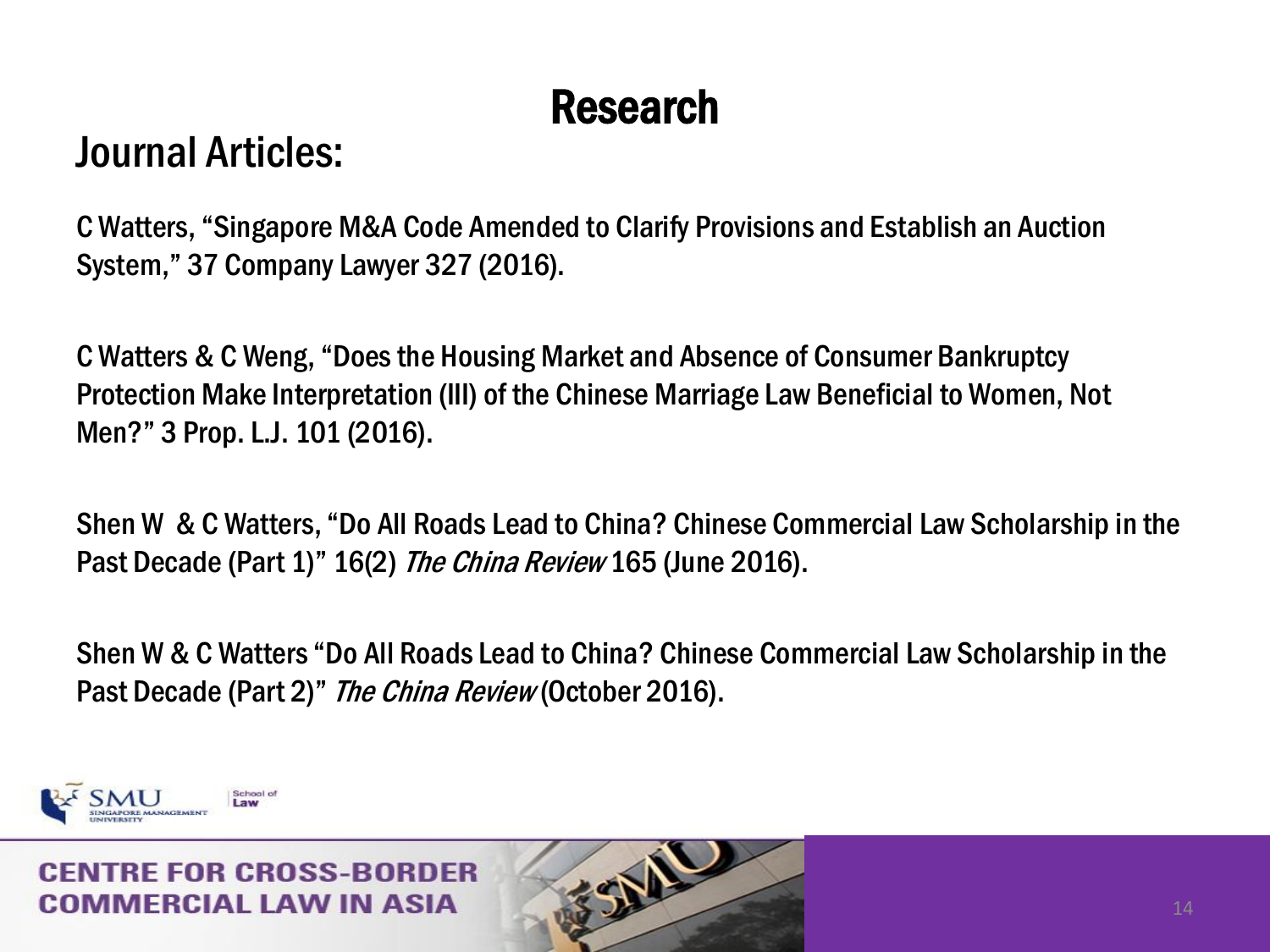### Journal Articles:

C Watters, "Singapore M&A Code Amended to Clarify Provisions and Establish an Auction System," 37 Company Lawyer 327 (2016).

C Watters & C Weng, "Does the Housing Market and Absence of Consumer Bankruptcy Protection Make Interpretation (III) of the Chinese Marriage Law Beneficial to Women, Not Men?" 3 Prop. L.J. 101 (2016).

Shen W & C Watters, "Do All Roads Lead to China? Chinese Commercial Law Scholarship in the Past Decade (Part 1)" 16(2) The China Review 165 (June 2016).

Shen W & C Watters "Do All Roads Lead to China? Chinese Commercial Law Scholarship in the Past Decade (Part 2)" The China Review (October 2016).



#### RE ENR CRASS-RARDER MMERCIAL LAW IN ASIA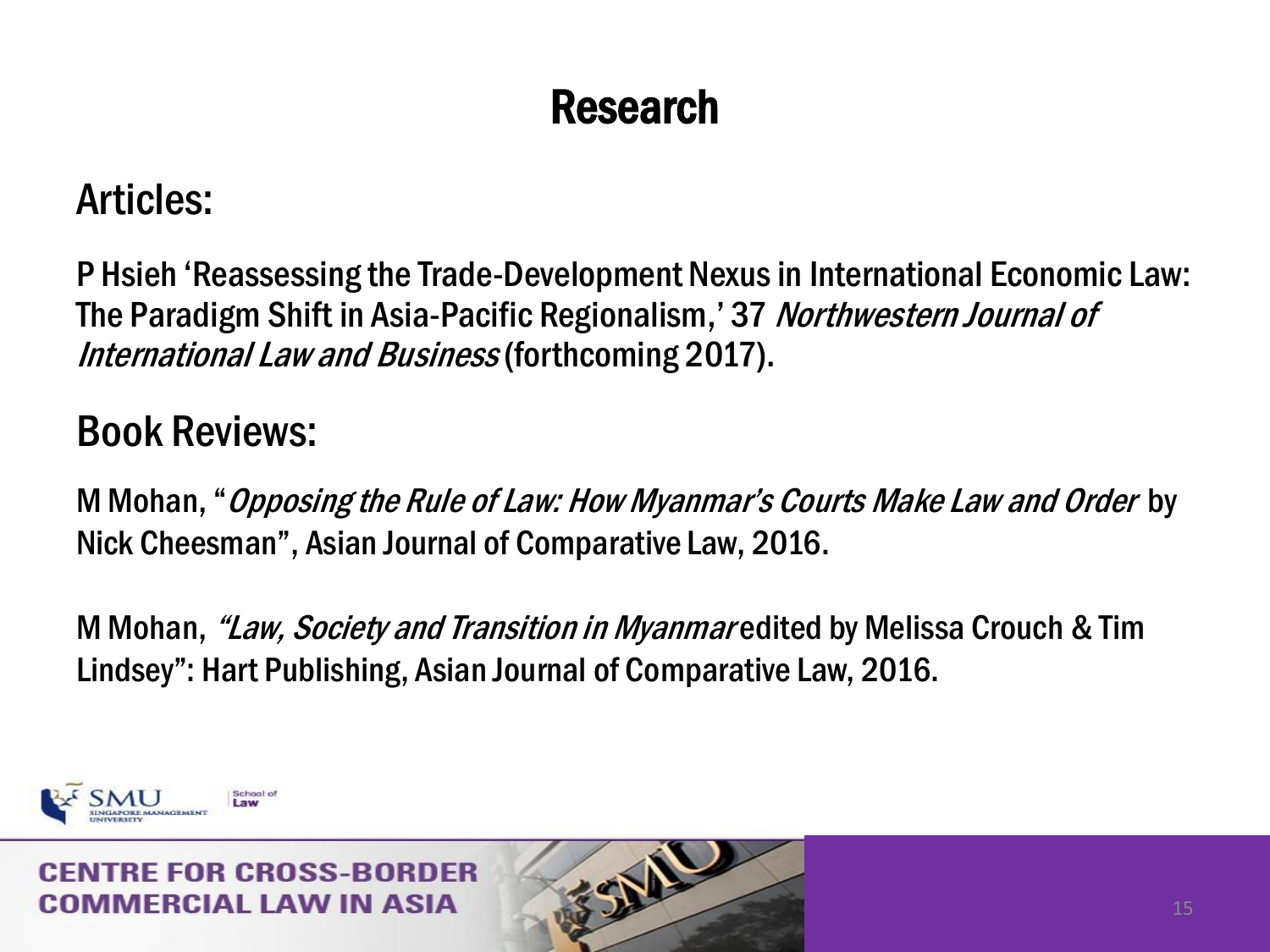### Articles:

P Hsieh 'Reassessing the Trade-Development Nexus in International Economic Law: The Paradigm Shift in Asia-Pacific Regionalism,' 37 Northwestern Journal of International Law and Business(forthcoming 2017).

### Book Reviews:

M Mohan, "Opposing the Rule of Law: How Myanmar's Courts Make Law and Order by Nick Cheesman", Asian Journal of Comparative Law, 2016.

M Mohan, *"Law, Society and Transition in Myanmar* edited by Melissa Crouch & Tim Lindsey": Hart Publishing, Asian Journal of Comparative Law, 2016.



#### RE ENR CRNSS\_RN IMERCIAL LAW IN ASIA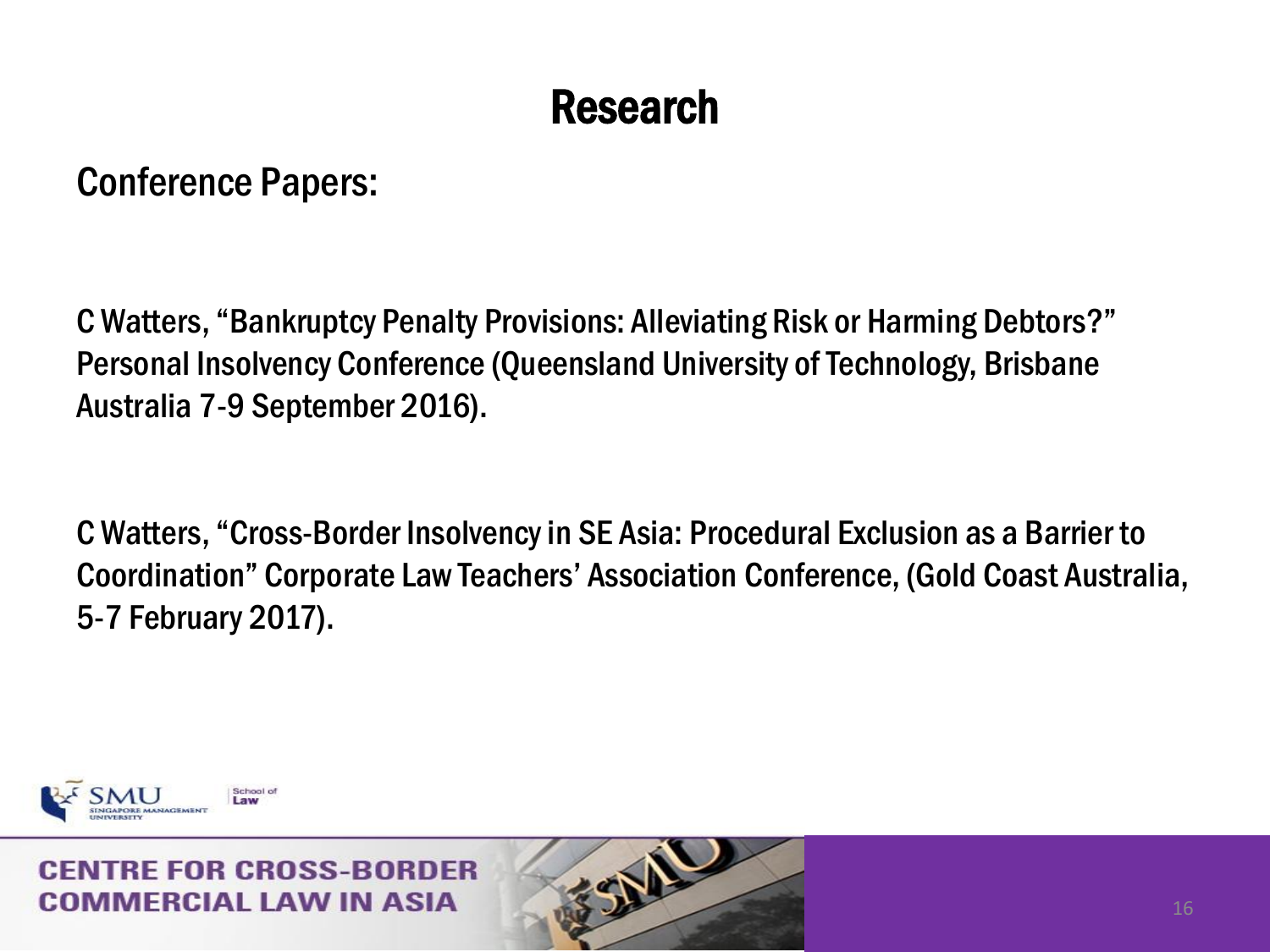Conference Papers:

C Watters, "Bankruptcy Penalty Provisions: Alleviating Risk or Harming Debtors?" Personal Insolvency Conference (Queensland University of Technology, Brisbane Australia 7-9 September 2016).

C Watters, "Cross-Border Insolvency in SE Asia: Procedural Exclusion as a Barrier to Coordination" Corporate Law Teachers' Association Conference, (Gold Coast Australia, 5-7 February 2017).



#### **RE FOR CROSS-BORDER** MMFRCIAI I AW IN ASIA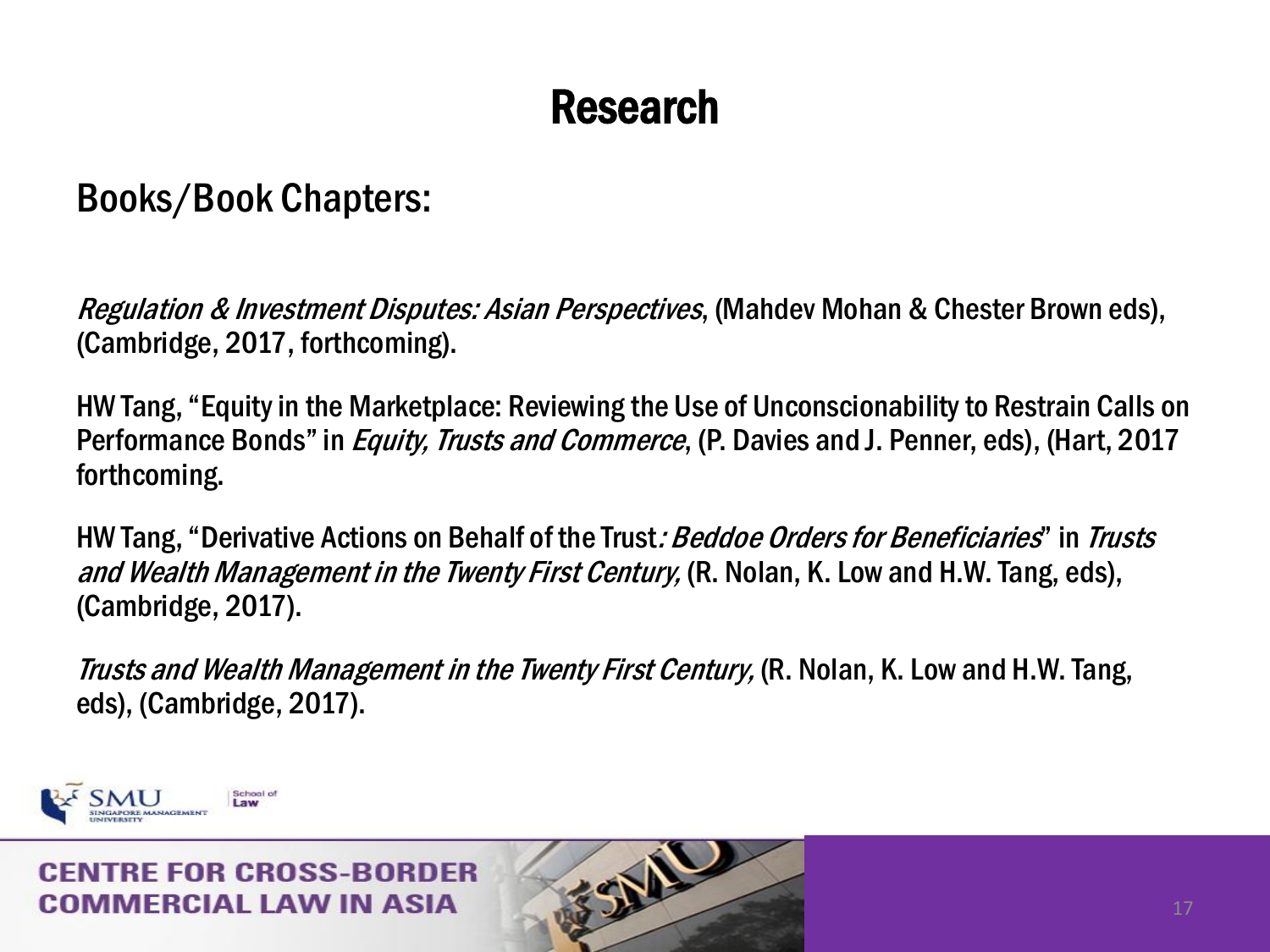### Books/Book Chapters:

Regulation & Investment Disputes: Asian Perspectives, (Mahdev Mohan & Chester Brown eds), (Cambridge, 2017, forthcoming).

HW Tang, "Equity in the Marketplace: Reviewing the Use of Unconscionability to Restrain Calls on Performance Bonds" in *Equity, Trusts and Commerce*, (P. Davies and J. Penner, eds), (Hart, 2017 forthcoming.

HW Tang, "Derivative Actions on Behalf of the Trust*: Beddoe Orders for Beneficiaries*" in *Trusts* and Wealth Management in the Twenty First Century, (R. Nolan, K. Low and H.W. Tang, eds), (Cambridge, 2017).

Trusts and Wealth Management in the Twenty First Century, (R. Nolan, K. Low and H.W. Tang, eds), (Cambridge, 2017).